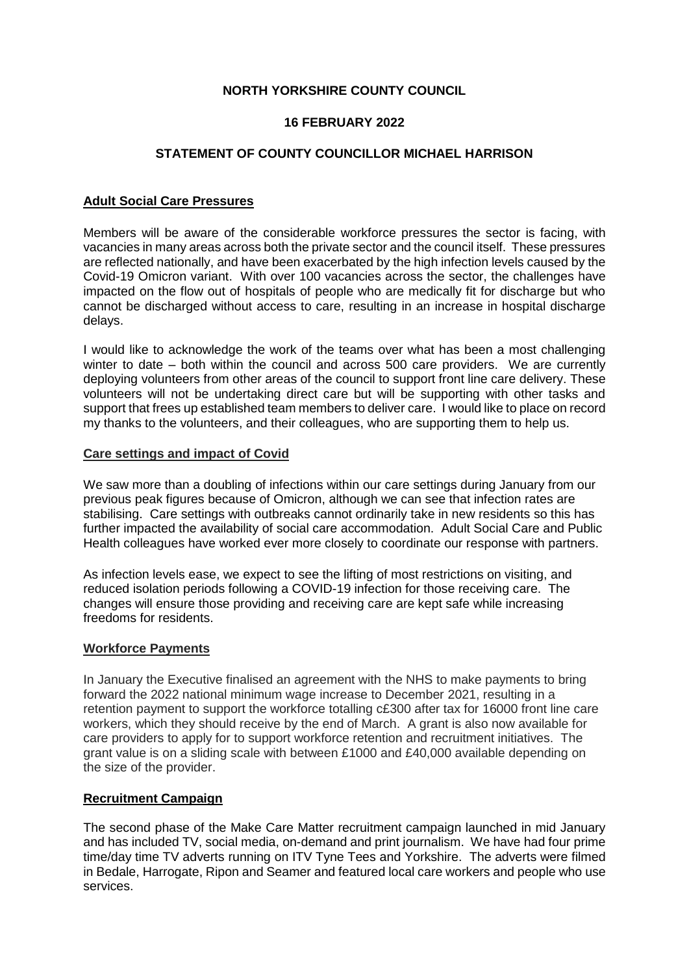# **NORTH YORKSHIRE COUNTY COUNCIL**

## **16 FEBRUARY 2022**

## **STATEMENT OF COUNTY COUNCILLOR MICHAEL HARRISON**

### **Adult Social Care Pressures**

Members will be aware of the considerable workforce pressures the sector is facing, with vacancies in many areas across both the private sector and the council itself. These pressures are reflected nationally, and have been exacerbated by the high infection levels caused by the Covid-19 Omicron variant. With over 100 vacancies across the sector, the challenges have impacted on the flow out of hospitals of people who are medically fit for discharge but who cannot be discharged without access to care, resulting in an increase in hospital discharge delays.

I would like to acknowledge the work of the teams over what has been a most challenging winter to date – both within the council and across 500 care providers. We are currently deploying volunteers from other areas of the council to support front line care delivery. These volunteers will not be undertaking direct care but will be supporting with other tasks and support that frees up established team members to deliver care. I would like to place on record my thanks to the volunteers, and their colleagues, who are supporting them to help us.

#### **Care settings and impact of Covid**

We saw more than a doubling of infections within our care settings during January from our previous peak figures because of Omicron, although we can see that infection rates are stabilising. Care settings with outbreaks cannot ordinarily take in new residents so this has further impacted the availability of social care accommodation. Adult Social Care and Public Health colleagues have worked ever more closely to coordinate our response with partners.

As infection levels ease, we expect to see the lifting of most restrictions on visiting, and reduced isolation periods following a COVID-19 infection for those receiving care. The changes will ensure those providing and receiving care are kept safe while increasing freedoms for residents.

## **Workforce Payments**

In January the Executive finalised an agreement with the NHS to make payments to bring forward the 2022 national minimum wage increase to December 2021, resulting in a retention payment to support the workforce totalling c£300 after tax for 16000 front line care workers, which they should receive by the end of March. A grant is also now available for care providers to apply for to support workforce retention and recruitment initiatives. The grant value is on a sliding scale with between £1000 and £40,000 available depending on the size of the provider.

## **Recruitment Campaign**

The second phase of the Make Care Matter recruitment campaign launched in mid January and has included TV, social media, on-demand and print journalism. We have had four prime time/day time TV adverts running on ITV Tyne Tees and Yorkshire. The adverts were filmed in Bedale, Harrogate, Ripon and Seamer and featured local care workers and people who use services.